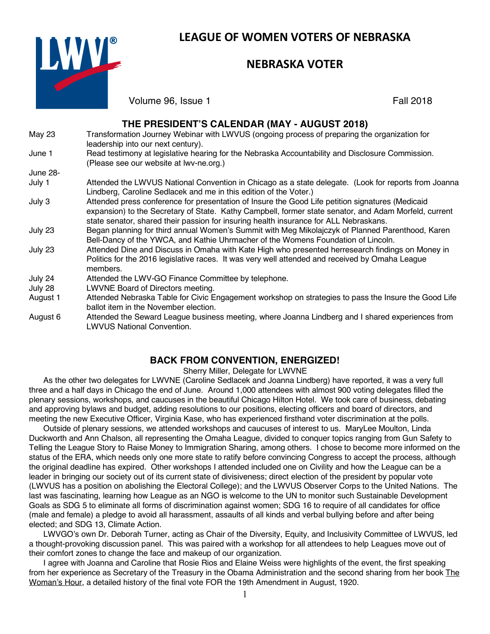

# **LEAGUE OF WOMEN VOTERS OF NEBRASKA**

# **NEBRASKA VOTER**

Volume 96, Issue 1 Fall 2018

#### **THE PRESIDENT'S CALENDAR (MAY - AUGUST 2018)** May 23 Transformation Journey Webinar with LWVUS (ongoing process of preparing the organization for leadership into our next century). June 1 Read testimony at legislative hearing for the Nebraska Accountability and Disclosure Commission. (Please see our website at lwv-ne.org.) June 28- July 1 Attended the LWVUS National Convention in Chicago as a state delegate. (Look for reports from Joanna Lindberg, Caroline Sedlacek and me in this edition of the Voter.) July 3 Attended press conference for presentation of Insure the Good Life petition signatures (Medicaid expansion) to the Secretary of State. Kathy Campbell, former state senator, and Adam Morfeld, current state senator, shared their passion for insuring health insurance for ALL Nebraskans. July 23 Began planning for third annual Women's Summit with Meg Mikolajczyk of Planned Parenthood, Karen Bell-Dancy of the YWCA, and Kathie Uhrmacher of the Womens Foundation of Lincoln. July 23 Attended Dine and Discuss in Omaha with Kate High who presented herresearch findings on Money in Politics for the 2016 legislative races. It was very well attended and received by Omaha League members. July 24 Attended the LWV-GO Finance Committee by telephone. July 28 LWVNE Board of Directors meeting. August 1 Attended Nebraska Table for Civic Engagement workshop on strategies to pass the Insure the Good Life ballot item in the November election.

#### August 6 Attended the Seward League business meeting, where Joanna Lindberg and I shared experiences from LWVUS National Convention.

### **BACK FROM CONVENTION, ENERGIZED!**

#### Sherry Miller, Delegate for LWVNE

As the other two delegates for LWVNE (Caroline Sedlacek and Joanna Lindberg) have reported, it was a very full three and a half days in Chicago the end of June. Around 1,000 attendees with almost 900 voting delegates filled the plenary sessions, workshops, and caucuses in the beautiful Chicago Hilton Hotel. We took care of business, debating and approving bylaws and budget, adding resolutions to our positions, electing officers and board of directors, and meeting the new Executive Officer, Virginia Kase, who has experienced firsthand voter discrimination at the polls.

Outside of plenary sessions, we attended workshops and caucuses of interest to us. MaryLee Moulton, Linda Duckworth and Ann Chalson, all representing the Omaha League, divided to conquer topics ranging from Gun Safety to Telling the League Story to Raise Money to Immigration Sharing, among others. I chose to become more informed on the status of the ERA, which needs only one more state to ratify before convincing Congress to accept the process, although the original deadline has expired. Other workshops I attended included one on Civility and how the League can be a leader in bringing our society out of its current state of divisiveness; direct election of the president by popular vote (LWVUS has a position on abolishing the Electoral College); and the LWVUS Observer Corps to the United Nations. The last was fascinating, learning how League as an NGO is welcome to the UN to monitor such Sustainable Development Goals as SDG 5 to eliminate all forms of discrimination against women; SDG 16 to require of all candidates for office (male and female) a pledge to avoid all harassment, assaults of all kinds and verbal bullying before and after being elected; and SDG 13, Climate Action.

LWVGO's own Dr. Deborah Turner, acting as Chair of the Diversity, Equity, and Inclusivity Committee of LWVUS, led a thought-provoking discussion panel. This was paired with a workshop for all attendees to help Leagues move out of their comfort zones to change the face and makeup of our organization.

I agree with Joanna and Caroline that Rosie Rios and Elaine Weiss were highlights of the event, the first speaking from her experience as Secretary of the Treasury in the Obama Administration and the second sharing from her book The Woman's Hour, a detailed history of the final vote FOR the 19th Amendment in August, 1920.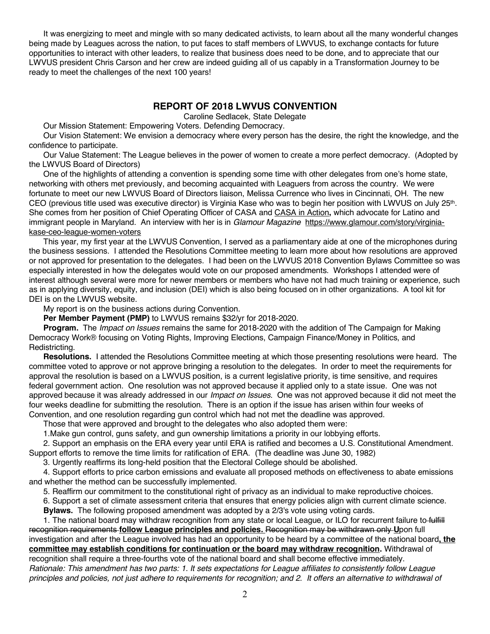It was energizing to meet and mingle with so many dedicated activists, to learn about all the many wonderful changes being made by Leagues across the nation, to put faces to staff members of LWVUS, to exchange contacts for future opportunities to interact with other leaders, to realize that business does need to be done, and to appreciate that our LWVUS president Chris Carson and her crew are indeed guiding all of us capably in a Transformation Journey to be ready to meet the challenges of the next 100 years!

### **REPORT OF 2018 LWVUS CONVENTION**

Caroline Sedlacek, State Delegate

Our Mission Statement: Empowering Voters. Defending Democracy.

Our Vision Statement: We envision a democracy where every person has the desire, the right the knowledge, and the confidence to participate.

Our Value Statement: The League believes in the power of women to create a more perfect democracy. (Adopted by the LWVUS Board of Directors)

One of the highlights of attending a convention is spending some time with other delegates from one's home state, networking with others met previously, and becoming acquainted with Leaguers from across the country. We were fortunate to meet our new LWVUS Board of Directors liaison, Melissa Currence who lives in Cincinnati, OH. The new CEO (previous title used was executive director) is Virginia Kase who was to begin her position with LWVUS on July 25th. She comes from her position of Chief Operating Officer of CASA and CASA in Action**,** which advocate for Latino and immigrant people in Maryland. An interview with her is in *Glamour Magazine* https://www.glamour.com/story/virginiakase-ceo-league-women-voters

This year, my first year at the LWVUS Convention, I served as a parliamentary aide at one of the microphones during the business sessions. I attended the Resolutions Committee meeting to learn more about how resolutions are approved or not approved for presentation to the delegates. I had been on the LWVUS 2018 Convention Bylaws Committee so was especially interested in how the delegates would vote on our proposed amendments. Workshops I attended were of interest although several were more for newer members or members who have not had much training or experience, such as in applying diversity, equity, and inclusion (DEI) which is also being focused on in other organizations. A tool kit for DEI is on the LWVUS website.

My report is on the business actions during Convention.

**Per Member Payment (PMP)** to LWVUS remains \$32/yr for 2018-2020.

**Program.** The *Impact on Issues* remains the same for 2018-2020 with the addition of The Campaign for Making Democracy Work® focusing on Voting Rights, Improving Elections, Campaign Finance/Money in Politics, and Redistricting.

**Resolutions.** I attended the Resolutions Committee meeting at which those presenting resolutions were heard. The committee voted to approve or not approve bringing a resolution to the delegates. In order to meet the requirements for approval the resolution is based on a LWVUS position, is a current legislative priority, is time sensitive, and requires federal government action. One resolution was not approved because it applied only to a state issue. One was not approved because it was already addressed in our *Impact on Issues*. One was not approved because it did not meet the four weeks deadline for submitting the resolution. There is an option if the issue has arisen within four weeks of Convention, and one resolution regarding gun control which had not met the deadline was approved.

Those that were approved and brought to the delegates who also adopted them were:

1.Make gun control, guns safety, and gun ownership limitations a priority in our lobbying efforts.

2. Support an emphasis on the ERA every year until ERA is ratified and becomes a U.S. Constitutional Amendment. Support efforts to remove the time limits for ratification of ERA. (The deadline was June 30, 1982)

3. Urgently reaffirms its long-held position that the Electoral College should be abolished.

4. Support efforts to price carbon emissions and evaluate all proposed methods on effectiveness to abate emissions and whether the method can be successfully implemented.

5. Reaffirm our commitment to the constitutional right of privacy as an individual to make reproductive choices.

6. Support a set of climate assessment criteria that ensures that energy policies align with current climate science.

**Bylaws.** The following proposed amendment was adopted by a 2/3's vote using voting cards.

1. The national board may withdraw recognition from any state or local League, or ILO for recurrent failure to-fulfill recognition requirements **follow League principles and policies.** Recognition may be withdrawn only **U**pon full investigation and after the League involved has had an opportunity to be heard by a committee of the national board**, the committee may establish conditions for continuation or the board may withdraw recognition.** Withdrawal of recognition shall require a three-fourths vote of the national board and shall become effective immediately. *Rationale: This amendment has two parts: 1. It sets expectations for League affiliates to consistently follow League principles and policies, not just adhere to requirements for recognition; and 2. It offers an alternative to withdrawal of*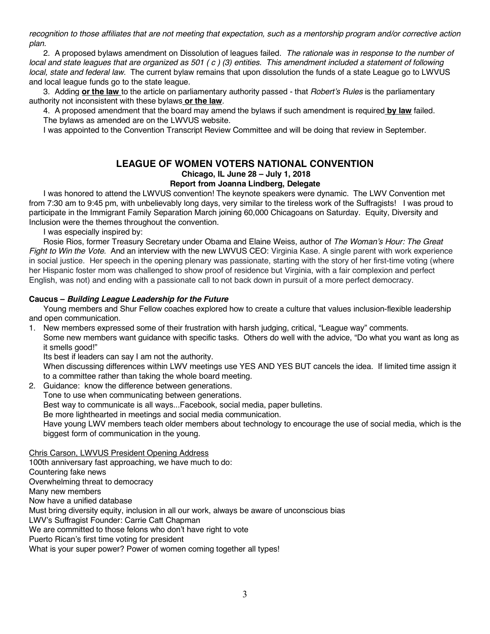*recognition to those affiliates that are not meeting that expectation, such as a mentorship program and/or corrective action plan.* 

2. A proposed bylaws amendment on Dissolution of leagues failed. *The rationale was in response to the number of local and state leagues that are organized as 501 ( c ) (3) entities. This amendment included a statement of following local, state and federal law.* The current bylaw remains that upon dissolution the funds of a state League go to LWVUS and local league funds go to the state league.

3. Adding **or the law** to the article on parliamentary authority passed - that *Robert's Rules* is the parliamentary authority not inconsistent with these bylaws **or the law**.

4. A proposed amendment that the board may amend the bylaws if such amendment is required **by law** failed. The bylaws as amended are on the LWVUS website.

I was appointed to the Convention Transcript Review Committee and will be doing that review in September.

# **LEAGUE OF WOMEN VOTERS NATIONAL CONVENTION Chicago, IL June 28 – July 1, 2018**

#### **Report from Joanna Lindberg, Delegate**

I was honored to attend the LWVUS convention! The keynote speakers were dynamic. The LWV Convention met from 7:30 am to 9:45 pm, with unbelievably long days, very similar to the tireless work of the Suffragists! I was proud to participate in the Immigrant Family Separation March joining 60,000 Chicagoans on Saturday. Equity, Diversity and Inclusion were the themes throughout the convention.

I was especially inspired by:

Rosie Rios, former Treasury Secretary under Obama and Elaine Weiss, author of *The Woman's Hour: The Great Fight to Win the Vote.* And an interview with the new LWVUS CEO: Virginia Kase. A single parent with work experience in social justice. Her speech in the opening plenary was passionate, starting with the story of her first-time voting (where her Hispanic foster mom was challenged to show proof of residence but Virginia, with a fair complexion and perfect English, was not) and ending with a passionate call to not back down in pursuit of a more perfect democracy.

#### **Caucus –** *Building League Leadership for the Future*

Young members and Shur Fellow coaches explored how to create a culture that values inclusion-flexible leadership and open communication.

1. New members expressed some of their frustration with harsh judging, critical, "League way" comments. Some new members want guidance with specific tasks. Others do well with the advice, "Do what you want as long as it smells good!"

Its best if leaders can say I am not the authority.

When discussing differences within LWV meetings use YES AND YES BUT cancels the idea. If limited time assign it to a committee rather than taking the whole board meeting.

2. Guidance: know the difference between generations.

Tone to use when communicating between generations. Best way to communicate is all ways...Facebook, social media, paper bulletins. Be more lighthearted in meetings and social media communication. Have young LWV members teach older members about technology to encourage the use of social media, which is the biggest form of communication in the young.

Chris Carson, LWVUS President Opening Address

100th anniversary fast approaching, we have much to do: Countering fake news Overwhelming threat to democracy Many new members Now have a unified database Must bring diversity equity, inclusion in all our work, always be aware of unconscious bias LWV's Suffragist Founder: Carrie Catt Chapman We are committed to those felons who don't have right to vote Puerto Rican's first time voting for president What is your super power? Power of women coming together all types!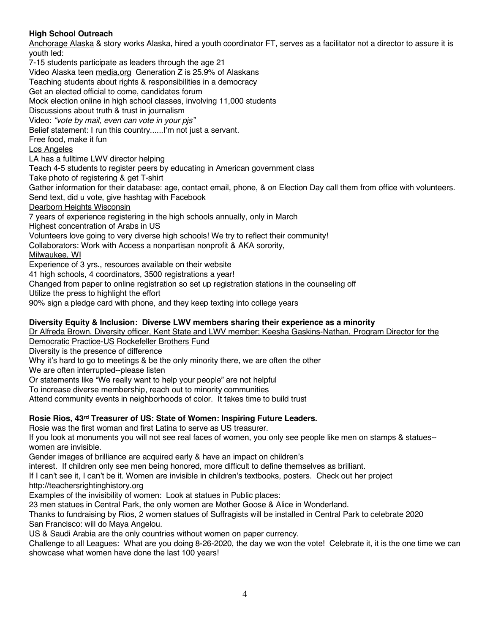### **High School Outreach**

Anchorage Alaska & story works Alaska, hired a youth coordinator FT, serves as a facilitator not a director to assure it is youth led:

7-15 students participate as leaders through the age 21

Video Alaska teen media.org Generation Z is 25.9% of Alaskans

Teaching students about rights & responsibilities in a democracy

Get an elected official to come, candidates forum

Mock election online in high school classes, involving 11,000 students

Discussions about truth & trust in journalism

Video: *"vote by mail, even can vote in your pjs"*

Belief statement: I run this country......I'm not just a servant.

Free food, make it fun

Los Angeles

LA has a fulltime LWV director helping

Teach 4-5 students to register peers by educating in American government class

Take photo of registering & get T-shirt

Gather information for their database: age, contact email, phone, & on Election Day call them from office with volunteers. Send text, did u vote, give hashtag with Facebook

Dearborn Heights Wisconsin

7 years of experience registering in the high schools annually, only in March

Highest concentration of Arabs in US

Volunteers love going to very diverse high schools! We try to reflect their community!

Collaborators: Work with Access a nonpartisan nonprofit & AKA sorority,

Milwaukee, WI

Experience of 3 yrs., resources available on their website

41 high schools, 4 coordinators, 3500 registrations a year!

Changed from paper to online registration so set up registration stations in the counseling off

Utilize the press to highlight the effort

90% sign a pledge card with phone, and they keep texting into college years

### **Diversity Equity & Inclusion: Diverse LWV members sharing their experience as a minority**

Dr Alfreda Brown, Diversity officer, Kent State and LWV member; Keesha Gaskins-Nathan, Program Director for the

Democratic Practice-US Rockefeller Brothers Fund

Diversity is the presence of difference

Why it's hard to go to meetings & be the only minority there, we are often the other

We are often interrupted--please listen

Or statements like "We really want to help your people" are not helpful

To increase diverse membership, reach out to minority communities

Attend community events in neighborhoods of color. It takes time to build trust

### **Rosie Rios, 43rd Treasurer of US: State of Women: Inspiring Future Leaders.**

Rosie was the first woman and first Latina to serve as US treasurer.

If you look at monuments you will not see real faces of women, you only see people like men on stamps & statues- women are invisible.

Gender images of brilliance are acquired early & have an impact on children's

interest. If children only see men being honored, more difficult to define themselves as brilliant.

If I can't see it, I can't be it. Women are invisible in children's textbooks, posters. Check out her project http://teachersrightinghistory.org

Examples of the invisibility of women: Look at statues in Public places:

23 men statues in Central Park, the only women are Mother Goose & Alice in Wonderland.

Thanks to fundraising by Rios, 2 women statues of Suffragists will be installed in Central Park to celebrate 2020 San Francisco: will do Maya Angelou.

US & Saudi Arabia are the only countries without women on paper currency.

Challenge to all Leagues: What are you doing 8-26-2020, the day we won the vote! Celebrate it, it is the one time we can showcase what women have done the last 100 years!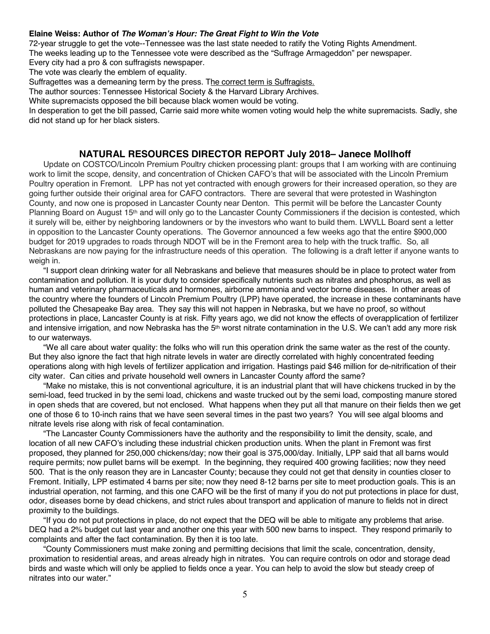#### **Elaine Weiss: Author of** *The Woman's Hour: The Great Fight to Win the Vote*

72-year struggle to get the vote--Tennessee was the last state needed to ratify the Voting Rights Amendment. The weeks leading up to the Tennessee vote were described as the "Suffrage Armageddon" per newspaper.

Every city had a pro & con suffragists newspaper.

The vote was clearly the emblem of equality.

Suffragettes was a demeaning term by the press. The correct term is Suffragists.

The author sources: Tennessee Historical Society & the Harvard Library Archives.

White supremacists opposed the bill because black women would be voting.

In desperation to get the bill passed, Carrie said more white women voting would help the white supremacists. Sadly, she did not stand up for her black sisters.

### **NATURAL RESOURCES DIRECTOR REPORT July 2018– Janece Mollhoff**

Update on COSTCO/Lincoln Premium Poultry chicken processing plant: groups that I am working with are continuing work to limit the scope, density, and concentration of Chicken CAFO's that will be associated with the Lincoln Premium Poultry operation in Fremont. LPP has not yet contracted with enough growers for their increased operation, so they are going further outside their original area for CAFO contractors. There are several that were protested in Washington County, and now one is proposed in Lancaster County near Denton. This permit will be before the Lancaster County Planning Board on August 15<sup>th</sup> and will only go to the Lancaster County Commissioners if the decision is contested, which it surely will be, either by neighboring landowners or by the investors who want to build them. LWVLL Board sent a letter in opposition to the Lancaster County operations. The Governor announced a few weeks ago that the entire \$900,000 budget for 2019 upgrades to roads through NDOT will be in the Fremont area to help with the truck traffic. So, all Nebraskans are now paying for the infrastructure needs of this operation. The following is a draft letter if anyone wants to weigh in.

"I support clean drinking water for all Nebraskans and believe that measures should be in place to protect water from contamination and pollution. It is your duty to consider specifically nutrients such as nitrates and phosphorus, as well as human and veterinary pharmaceuticals and hormones, airborne ammonia and vector borne diseases. In other areas of the country where the founders of Lincoln Premium Poultry (LPP) have operated, the increase in these contaminants have polluted the Chesapeake Bay area. They say this will not happen in Nebraska, but we have no proof, so without protections in place, Lancaster County is at risk. Fifty years ago, we did not know the effects of overapplication of fertilizer and intensive irrigation, and now Nebraska has the 5<sup>th</sup> worst nitrate contamination in the U.S. We can't add any more risk to our waterways.

"We all care about water quality: the folks who will run this operation drink the same water as the rest of the county. But they also ignore the fact that high nitrate levels in water are directly correlated with highly concentrated feeding operations along with high levels of fertilizer application and irrigation. Hastings paid \$46 million for de-nitrification of their city water. Can cities and private household well owners in Lancaster County afford the same?

"Make no mistake, this is not conventional agriculture, it is an industrial plant that will have chickens trucked in by the semi-load, feed trucked in by the semi load, chickens and waste trucked out by the semi load, composting manure stored in open sheds that are covered, but not enclosed. What happens when they put all that manure on their fields then we get one of those 6 to 10-inch rains that we have seen several times in the past two years? You will see algal blooms and nitrate levels rise along with risk of fecal contamination.

"The Lancaster County Commissioners have the authority and the responsibility to limit the density, scale, and location of all new CAFO's including these industrial chicken production units. When the plant in Fremont was first proposed, they planned for 250,000 chickens/day; now their goal is 375,000/day. Initially, LPP said that all barns would require permits; now pullet barns will be exempt. In the beginning, they required 400 growing facilities; now they need 500. That is the only reason they are in Lancaster County; because they could not get that density in counties closer to Fremont. Initially, LPP estimated 4 barns per site; now they need 8-12 barns per site to meet production goals. This is an industrial operation, not farming, and this one CAFO will be the first of many if you do not put protections in place for dust, odor, diseases borne by dead chickens, and strict rules about transport and application of manure to fields not in direct proximity to the buildings.

"If you do not put protections in place, do not expect that the DEQ will be able to mitigate any problems that arise. DEQ had a 2% budget cut last year and another one this year with 500 new barns to inspect. They respond primarily to complaints and after the fact contamination. By then it is too late.

"County Commissioners must make zoning and permitting decisions that limit the scale, concentration, density, proximation to residential areas, and areas already high in nitrates. You can require controls on odor and storage dead birds and waste which will only be applied to fields once a year. You can help to avoid the slow but steady creep of nitrates into our water."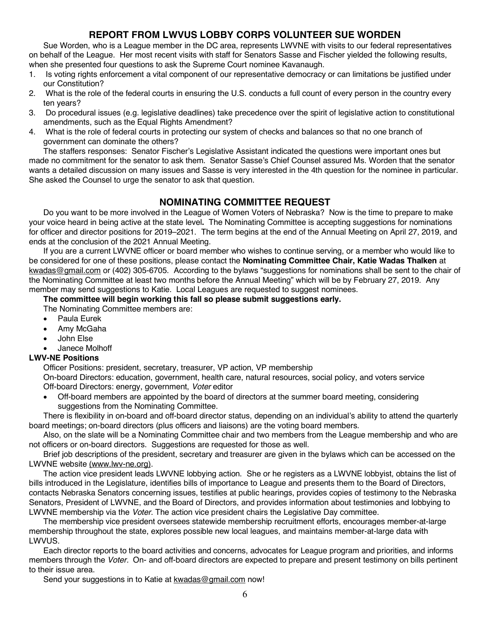### **REPORT FROM LWVUS LOBBY CORPS VOLUNTEER SUE WORDEN**

Sue Worden, who is a League member in the DC area, represents LWVNE with visits to our federal representatives on behalf of the League. Her most recent visits with staff for Senators Sasse and Fischer yielded the following results, when she presented four questions to ask the Supreme Court nominee Kavanaugh.

- 1. Is voting rights enforcement a vital component of our representative democracy or can limitations be justified under our Constitution?
- 2. What is the role of the federal courts in ensuring the U.S. conducts a full count of every person in the country every ten years?
- 3. Do procedural issues (e.g. legislative deadlines) take precedence over the spirit of legislative action to constitutional amendments, such as the Equal Rights Amendment?
- 4. What is the role of federal courts in protecting our system of checks and balances so that no one branch of government can dominate the others?

The staffers responses: Senator Fischer's Legislative Assistant indicated the questions were important ones but made no commitment for the senator to ask them. Senator Sasse's Chief Counsel assured Ms. Worden that the senator wants a detailed discussion on many issues and Sasse is very interested in the 4th question for the nominee in particular. She asked the Counsel to urge the senator to ask that question.

### **NOMINATING COMMITTEE REQUEST**

Do you want to be more involved in the League of Women Voters of Nebraska? Now is the time to prepare to make your voice heard in being active at the state level**.** The Nominating Committee is accepting suggestions for nominations for officer and director positions for 2019–2021. The term begins at the end of the Annual Meeting on April 27, 2019, and ends at the conclusion of the 2021 Annual Meeting.

If you are a current LWVNE officer or board member who wishes to continue serving, or a member who would like to be considered for one of these positions, please contact the **Nominating Committee Chair, Katie Wadas Thalken** at kwadas@gmail.com or (402) 305-6705. According to the bylaws "suggestions for nominations shall be sent to the chair of the Nominating Committee at least two months before the Annual Meeting" which will be by February 27, 2019. Any member may send suggestions to Katie. Local Leagues are requested to suggest nominees.

### **The committee will begin working this fall so please submit suggestions early.**

The Nominating Committee members are:

- Paula Eurek
- Amy McGaha
- John Else
- Janece Molhoff

#### **LWV-NE Positions**

Officer Positions: president, secretary, treasurer, VP action, VP membership On-board Directors: education, government, health care, natural resources, social policy, and voters service

Off-board Directors: energy, government, *Voter* editor

• Off-board members are appointed by the board of directors at the summer board meeting, considering suggestions from the Nominating Committee.

There is flexibility in on-board and off-board director status, depending on an individual's ability to attend the quarterly board meetings; on-board directors (plus officers and liaisons) are the voting board members.

Also, on the slate will be a Nominating Committee chair and two members from the League membership and who are not officers or on-board directors. Suggestions are requested for those as well.

Brief job descriptions of the president, secretary and treasurer are given in the bylaws which can be accessed on the LWVNE website (www.lwv-ne.org).

The action vice president leads LWVNE lobbying action. She or he registers as a LWVNE lobbyist, obtains the list of bills introduced in the Legislature, identifies bills of importance to League and presents them to the Board of Directors, contacts Nebraska Senators concerning issues, testifies at public hearings, provides copies of testimony to the Nebraska Senators, President of LWVNE, and the Board of Directors, and provides information about testimonies and lobbying to LWVNE membership via the *Voter*. The action vice president chairs the Legislative Day committee.

The membership vice president oversees statewide membership recruitment efforts, encourages member-at-large membership throughout the state, explores possible new local leagues, and maintains member-at-large data with LWVUS.

Each director reports to the board activities and concerns, advocates for League program and priorities, and informs members through the *Voter.* On- and off-board directors are expected to prepare and present testimony on bills pertinent to their issue area.

Send your suggestions in to Katie at kwadas@gmail.com now!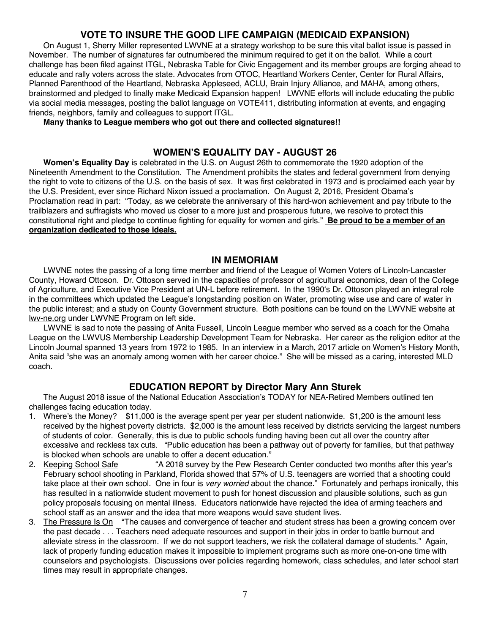### **VOTE TO INSURE THE GOOD LIFE CAMPAIGN (MEDICAID EXPANSION)**

On August 1, Sherry Miller represented LWVNE at a strategy workshop to be sure this vital ballot issue is passed in November. The number of signatures far outnumbered the minimum required to get it on the ballot. While a court challenge has been filed against ITGL, Nebraska Table for Civic Engagement and its member groups are forging ahead to educate and rally voters across the state. Advocates from OTOC, Heartland Workers Center, Center for Rural Affairs, Planned Parenthood of the Heartland, Nebraska Appleseed, ACLU, Brain Injury Alliance, and MAHA, among others, brainstormed and pledged to finally make Medicaid Expansion happen! LWVNE efforts will include educating the public via social media messages, posting the ballot language on VOTE411, distributing information at events, and engaging friends, neighbors, family and colleagues to support ITGL.

#### **Many thanks to League members who got out there and collected signatures!!**

### **WOMEN'S EQUALITY DAY - AUGUST 26**

**Women's Equality Day** is celebrated in the U.S. on August 26th to commemorate the 1920 adoption of the Nineteenth Amendment to the Constitution. The Amendment prohibits the states and federal government from denying the right to vote to citizens of the U.S. on the basis of sex. It was first celebrated in 1973 and is proclaimed each year by the U.S. President, ever since Richard Nixon issued a proclamation. On August 2, 2016, President Obama's Proclamation read in part: "Today, as we celebrate the anniversary of this hard-won achievement and pay tribute to the trailblazers and suffragists who moved us closer to a more just and prosperous future, we resolve to protect this constitutional right and pledge to continue fighting for equality for women and girls." **Be proud to be a member of an organization dedicated to those ideals.**

### **IN MEMORIAM**

LWVNE notes the passing of a long time member and friend of the League of Women Voters of Lincoln-Lancaster County, Howard Ottoson. Dr. Ottoson served in the capacities of professor of agricultural economics, dean of the College of Agriculture, and Executive Vice President at UN-L before retirement. In the 1990's Dr. Ottoson played an integral role in the committees which updated the League's longstanding position on Water, promoting wise use and care of water in the public interest; and a study on County Government structure. Both positions can be found on the LWVNE website at lwv-ne.org under LWVNE Program on left side.

LWVNE is sad to note the passing of Anita Fussell, Lincoln League member who served as a coach for the Omaha League on the LWVUS Membership Leadership Development Team for Nebraska. Her career as the religion editor at the Lincoln Journal spanned 13 years from 1972 to 1985. In an interview in a March, 2017 article on Women's History Month, Anita said "she was an anomaly among women with her career choice." She will be missed as a caring, interested MLD coach.

### **EDUCATION REPORT by Director Mary Ann Sturek**

The August 2018 issue of the National Education Association's TODAY for NEA-Retired Members outlined ten challenges facing education today.

- 1. Where's the Money? \$11,000 is the average spent per year per student nationwide. \$1,200 is the amount less received by the highest poverty districts. \$2,000 is the amount less received by districts servicing the largest numbers of students of color. Generally, this is due to public schools funding having been cut all over the country after excessive and reckless tax cuts. "Public education has been a pathway out of poverty for families, but that pathway is blocked when schools are unable to offer a decent education."
- 2. Keeping School Safe "A 2018 survey by the Pew Research Center conducted two months after this year's February school shooting in Parkland, Florida showed that 57% of U.S. teenagers are worried that a shooting could take place at their own school. One in four is *very worried* about the chance." Fortunately and perhaps ironically, this has resulted in a nationwide student movement to push for honest discussion and plausible solutions, such as gun policy proposals focusing on mental illness. Educators nationwide have rejected the idea of arming teachers and school staff as an answer and the idea that more weapons would save student lives.
- 3. The Pressure Is On "The causes and convergence of teacher and student stress has been a growing concern over the past decade . . . Teachers need adequate resources and support in their jobs in order to battle burnout and alleviate stress in the classroom. If we do not support teachers, we risk the collateral damage of students." Again, lack of properly funding education makes it impossible to implement programs such as more one-on-one time with counselors and psychologists. Discussions over policies regarding homework, class schedules, and later school start times may result in appropriate changes.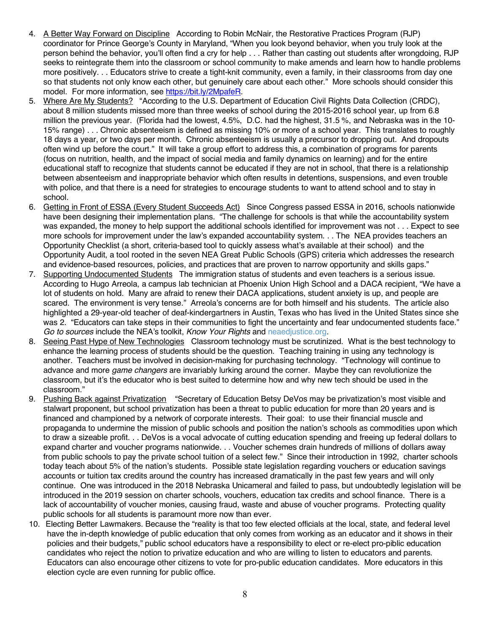- 4. A Better Way Forward on Discipline According to Robin McNair, the Restorative Practices Program (RJP) coordinator for Prince George's County in Maryland, "When you look beyond behavior, when you truly look at the person behind the behavior, you'll often find a cry for help . . . Rather than casting out students after wrongdoing, RJP seeks to reintegrate them into the classroom or school community to make amends and learn how to handle problems more positively. . . Educators strive to create a tight-knit community, even a family, in their classrooms from day one so that students not only know each other, but genuinely care about each other." More schools should consider this model. For more information, see https://bit.ly/2MpafeR.
- 5. Where Are My Students? "According to the U.S. Department of Education Civil Rights Data Collection (CRDC), about 8 million students missed more than three weeks of school during the 2015-2016 school year, up from 6.8 million the previous year. (Florida had the lowest, 4.5%, D.C. had the highest, 31.5 %, and Nebraska was in the 10- 15% range) . . . Chronic absenteeism is defined as missing 10% or more of a school year. This translates to roughly 18 days a year, or two days per month. Chronic absenteeism is usually a precursor to dropping out. And dropouts often wind up before the court." It will take a group effort to address this, a combination of programs for parents (focus on nutrition, health, and the impact of social media and family dynamics on learning) and for the entire educational staff to recognize that students cannot be educated if they are not in school, that there is a relationship between absenteeism and inappropriate behavior which often results in detentions, suspensions, and even trouble with police, and that there is a need for strategies to encourage students to want to attend school and to stay in school.
- 6. Getting in Front of ESSA (Every Student Succeeds Act) Since Congress passed ESSA in 2016, schools nationwide have been designing their implementation plans. "The challenge for schools is that while the accountability system was expanded, the money to help support the additional schools identified for improvement was not . . . Expect to see more schools for improvement under the law's expanded accountability system. . . The NEA provides teachers an Opportunity Checklist (a short, criteria-based tool to quickly assess what's available at their school) and the Opportunity Audit, a tool rooted in the seven NEA Great Public Schools (GPS) criteria which addresses the research and evidence-based resources, policies, and practices that are proven to narrow opportunity and skills gaps."
- 7. Supporting Undocumented Students The immigration status of students and even teachers is a serious issue. According to Hugo Arreola, a campus lab technician at Phoenix Union High School and a DACA recipient, "We have a lot of students on hold. Many are afraid to renew their DACA applications, student anxiety is up, and people are scared. The environment is very tense." Arreola's concerns are for both himself and his students. The article also highlighted a 29-year-old teacher of deaf-kindergartners in Austin, Texas who has lived in the United States since she was 2. "Educators can take steps in their communities to fight the uncertainty and fear undocumented students face." *Go to sources* include the NEA's toolkit, *Know Your Rights* and neaedjustice.org.
- 8. Seeing Past Hype of New Technologies Classroom technology must be scrutinized. What is the best technology to enhance the learning process of students should be the question. Teaching training in using any technology is another. Teachers must be involved in decision-making for purchasing technology. "Technology will continue to advance and more *game changers* are invariably lurking around the corner. Maybe they can revolutionize the classroom, but it's the educator who is best suited to determine how and why new tech should be used in the classroom."
- 9. Pushing Back against Privatization "Secretary of Education Betsy DeVos may be privatization's most visible and stalwart proponent, but school privatization has been a threat to public education for more than 20 years and is financed and championed by a network of corporate interests. Their goal: to use their financial muscle and propaganda to undermine the mission of public schools and position the nation's schools as commodities upon which to draw a sizeable profit. . . DeVos is a vocal advocate of cutting education spending and freeing up federal dollars to expand charter and voucher programs nationwide. . . Voucher schemes drain hundreds of millions of dollars away from public schools to pay the private school tuition of a select few." Since their introduction in 1992, charter schools today teach about 5% of the nation's students. Possible state legislation regarding vouchers or education savings accounts or tuition tax credits around the country has increased dramatically in the past few years and will only continue. One was introduced in the 2018 Nebraska Unicameral and failed to pass, but undoubtedly legislation will be introduced in the 2019 session on charter schools, vouchers, education tax credits and school finance. There is a lack of accountability of voucher monies, causing fraud, waste and abuse of voucher programs. Protecting quality public schools for all students is paramount more now than ever.
- 10. Electing Better Lawmakers. Because the "reality is that too few elected officials at the local, state, and federal level have the in-depth knowledge of public education that only comes from working as an educator and it shows in their policies and their budgets," public school educators have a responsibility to elect or re-elect pro-piblic education candidates who reject the notion to privatize education and who are willing to listen to educators and parents. Educators can also encourage other citizens to vote for pro-public education candidates. More educators in this election cycle are even running for public office.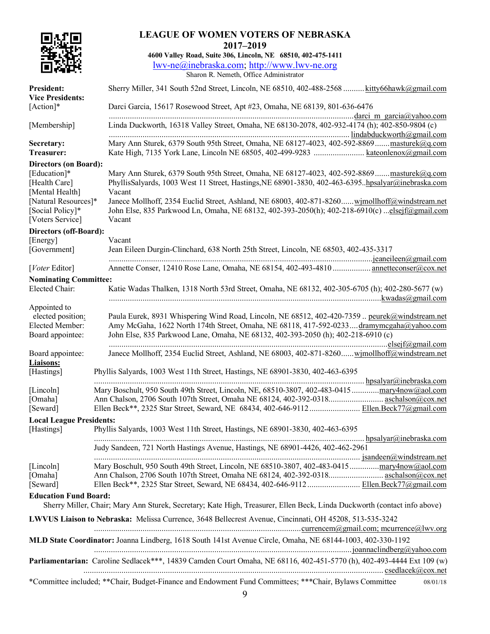|                                                                                                                                                  | <b>LEAGUE OF WOMEN VOTERS OF NEBRASKA</b><br>2017-2019                                                                                                                                                                                                                                                                                                                                                                  |
|--------------------------------------------------------------------------------------------------------------------------------------------------|-------------------------------------------------------------------------------------------------------------------------------------------------------------------------------------------------------------------------------------------------------------------------------------------------------------------------------------------------------------------------------------------------------------------------|
|                                                                                                                                                  | 4600 Valley Road, Suite 306, Lincoln, NE 68510, 402-475-1411<br>lwv-ne@inebraska.com; http://www.lwv-ne.org<br>Sharon R. Nemeth, Office Administrator                                                                                                                                                                                                                                                                   |
| <b>President:</b>                                                                                                                                | Sherry Miller, 341 South 52nd Street, Lincoln, NE 68510, 402-488-2568 kitty66hawk@gmail.com                                                                                                                                                                                                                                                                                                                             |
| <b>Vice Presidents:</b><br>[Action]*                                                                                                             | Darci Garcia, 15617 Rosewood Street, Apt #23, Omaha, NE 68139, 801-636-6476                                                                                                                                                                                                                                                                                                                                             |
| [Membership]                                                                                                                                     | Linda Duckworth, 16318 Valley Street, Omaha, NE 68130-2078, 402-932-4174 (h); 402-850-9804 (c)                                                                                                                                                                                                                                                                                                                          |
| Secretary:<br>Treasurer:                                                                                                                         | Mary Ann Sturek, 6379 South 95th Street, Omaha, NE 68127-4023, 402-592-8869masturek@q.com                                                                                                                                                                                                                                                                                                                               |
| <b>Directors (on Board):</b><br>[Education]*<br>[Health Care]<br>[Mental Health]<br>[Natural Resources]*<br>[Social Policy]*<br>[Voters Service] | Mary Ann Sturek, 6379 South 95th Street, Omaha, NE 68127-4023, 402-592-8869masturek@q.com<br>PhyllisSalyards, 1003 West 11 Street, Hastings, NE 68901-3830, 402-463-6395. hpsalyar@inebraska.com<br>Vacant<br>Janece Mollhoff, 2354 Euclid Street, Ashland, NE 68003, 402-871-8260wimollhoff@windstream.net<br>John Else, 835 Parkwood Ln, Omaha, NE 68132, 402-393-2050(h); 402-218-6910(c) elsejf@gmail.com<br>Vacant |
| Directors (off-Board):                                                                                                                           |                                                                                                                                                                                                                                                                                                                                                                                                                         |
| [Energy]<br>[Government]                                                                                                                         | Vacant<br>Jean Eileen Durgin-Clinchard, 638 North 25th Street, Lincoln, NE 68503, 402-435-3317                                                                                                                                                                                                                                                                                                                          |
| [Voter Editor]                                                                                                                                   | Annette Conser, 12410 Rose Lane, Omaha, NE 68154, 402-493-4810  annetteconser@cox.net                                                                                                                                                                                                                                                                                                                                   |
| <b>Nominating Committee:</b><br>Elected Chair:                                                                                                   | Katie Wadas Thalken, 1318 North 53rd Street, Omaha, NE 68132, 402-305-6705 (h); 402-280-5677 (w)                                                                                                                                                                                                                                                                                                                        |
| Appointed to<br>elected position:<br>Elected Member:<br>Board appointee:                                                                         | Paula Eurek, 8931 Whispering Wind Road, Lincoln, NE 68512, 402-420-7359  peurek@windstream.net<br>Amy McGaha, 1622 North 174th Street, Omaha, NE 68118, 417-592-0233 dramymcgaha@yahoo.com<br>John Else, 835 Parkwood Lane, Omaha, NE 68132, 402-393-2050 (h); 402-218-6910 (c)                                                                                                                                         |
| Board appointee:<br><b>Liaisons:</b>                                                                                                             | Janece Mollhoff, 2354 Euclid Street, Ashland, NE 68003, 402-871-8260wimollhoff@windstream.net                                                                                                                                                                                                                                                                                                                           |
| [Hastings]                                                                                                                                       | Phyllis Salyards, 1003 West 11th Street, Hastings, NE 68901-3830, 402-463-6395                                                                                                                                                                                                                                                                                                                                          |
| [Lincoln]<br>[Omaha]<br>[Seward]                                                                                                                 | Mary Boschult, 950 South 49th Street, Lincoln, NE, 68510-3807, 402-483-0415 mary4now@aol.com                                                                                                                                                                                                                                                                                                                            |
| <b>Local League Presidents:</b>                                                                                                                  |                                                                                                                                                                                                                                                                                                                                                                                                                         |
| [Hastings]                                                                                                                                       | Phyllis Salyards, 1003 West 11th Street, Hastings, NE 68901-3830, 402-463-6395<br>Judy Sandeen, 721 North Hastings Avenue, Hastings, NE 68901-4426, 402-462-2961                                                                                                                                                                                                                                                        |
| [Lincoln]<br>[Omaha]<br>[Seward]                                                                                                                 | Mary Boschult, 950 South 49th Street, Lincoln, NE 68510-3807, 402-483-0415mary4now@aol.com<br>Ellen Beck**, 2325 Star Street, Seward, NE 68434, 402-646-9112  Ellen Beck77@gmail.com                                                                                                                                                                                                                                    |
| <b>Education Fund Board:</b>                                                                                                                     | Sherry Miller, Chair; Mary Ann Sturek, Secretary; Kate High, Treasurer, Ellen Beck, Linda Duckworth (contact info above)                                                                                                                                                                                                                                                                                                |
| LWVUS Liaison to Nebraska: Melissa Currence, 3648 Bellecrest Avenue, Cincinnati, OH 45208, 513-535-3242                                          |                                                                                                                                                                                                                                                                                                                                                                                                                         |
|                                                                                                                                                  | MLD State Coordinator: Joanna Lindberg, 1618 South 141st Avenue Circle, Omaha, NE 68144-1003, 402-330-1192                                                                                                                                                                                                                                                                                                              |
|                                                                                                                                                  | Parliamentarian: Caroline Sedlacek***, 14839 Camden Court Omaha, NE 68116, 402-451-5770 (h), 402-493-4444 Ext 109 (w)                                                                                                                                                                                                                                                                                                   |
|                                                                                                                                                  | *Committee included; **Chair, Budget-Finance and Endowment Fund Committees; ***Chair, Bylaws Committee<br>08/01/18                                                                                                                                                                                                                                                                                                      |